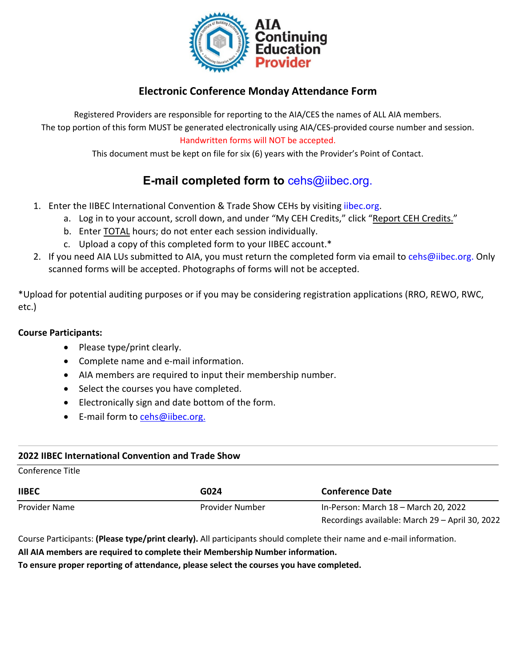

### **Electronic Conference Monday Attendance Form**

Registered Providers are responsible for reporting to the AIA/CES the names of ALL AIA members. The top portion of this form MUST be generated electronically using AIA/CES-provided course number and session. Handwritten forms will NOT be accepted.

This document must be kept on file for six (6) years with the Provider's Point of Contact.

# **E-mail completed form to** [cehs@iibec.org.](mailto:cehs@iibec.org)

- 1. Enter the IIBEC International Convention & Trade Show CEHs by visiting [iibec.org.](https://iibec.org/login/)
	- a. Log in to your account, scroll down, and under "My CEH Credits," click "Report CEH Credits."
		- b. Enter TOTAL hours; do not enter each session individually.
		- c. Upload a copy of this completed form to your IIBEC account.\*
- 2. If you need AIA LUs submitted to AIA, you must return the completed form via email t[o cehs@iibec.org.](mailto:cehs@iibec.org) Only scanned forms will be accepted. Photographs of forms will not be accepted.

\*Upload for potential auditing purposes or if you may be considering registration applications (RRO, REWO, RWC, etc.)

#### **Course Participants:**

- Please type/print clearly.
- Complete name and e-mail information.
- AIA members are required to input their membership number.
- Select the courses you have completed.
- Electronically sign and date bottom of the form.
- E-mail form to [cehs@iibec.org.](mailto:cehs@iibec.org)

#### **2022 IIBEC International Convention and Trade Show**

Conference Title

| <b>IIBEC</b>  | G024            | <b>Conference Date</b>                          |
|---------------|-----------------|-------------------------------------------------|
| Provider Name | Provider Number | In-Person: March 18 - March 20, 2022            |
|               |                 | Recordings available: March 29 - April 30, 2022 |

Course Participants: **(Please type/print clearly).** All participants should complete their name and e-mail information.

**All AIA members are required to complete their Membership Number information.**

**To ensure proper reporting of attendance, please select the courses you have completed.**